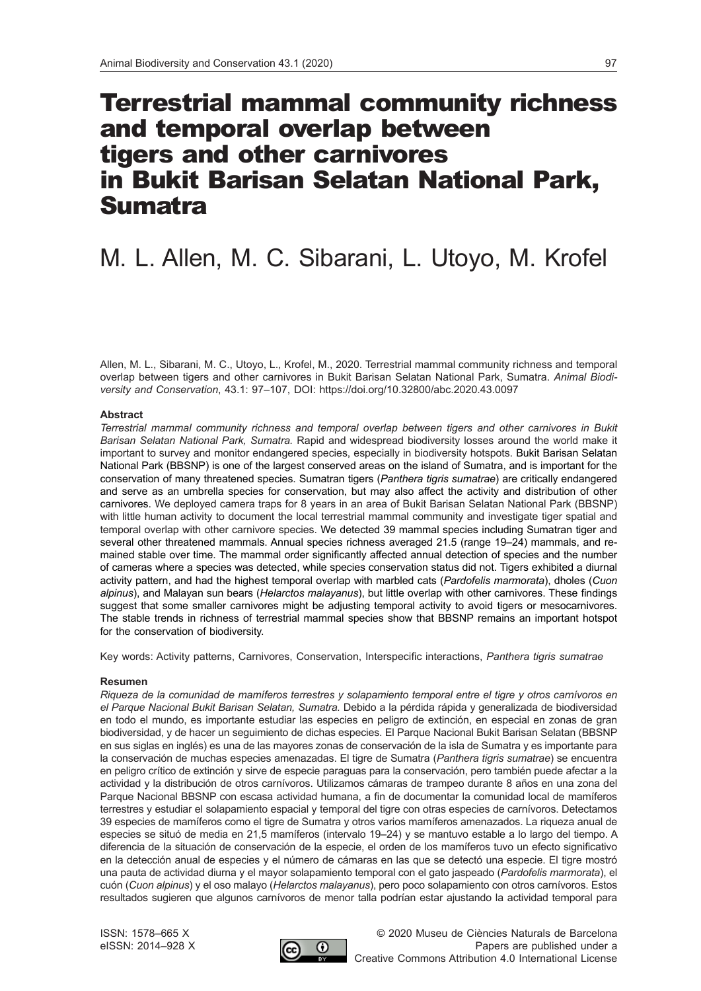# Terrestrial mammal community richness and temporal overlap between tigers and other carnivores in Bukit Barisan Selatan National Park, Sumatra

# M. L. Allen, M. C. Sibarani, L. Utoyo, M. Krofel

Allen, M. L., Sibarani, M. C., Utoyo, L., Krofel, M., 2020. Terrestrial mammal community richness and temporal overlap between tigers and other carnivores in Bukit Barisan Selatan National Park, Sumatra. *Animal Biodiversity and Conservation*, 43.1: 97–107, DOI: https://doi.org/10.32800/abc.2020.43.0097

# **Abstract**

*Terrestrial mammal community richness and temporal overlap between tigers and other carnivores in Bukit Barisan Selatan National Park, Sumatra.* Rapid and widespread biodiversity losses around the world make it important to survey and monitor endangered species, especially in biodiversity hotspots. Bukit Barisan Selatan National Park (BBSNP) is one of the largest conserved areas on the island of Sumatra, and is important for the conservation of many threatened species. Sumatran tigers (*Panthera tigris sumatrae*) are critically endangered and serve as an umbrella species for conservation, but may also affect the activity and distribution of other carnivores. We deployed camera traps for 8 years in an area of Bukit Barisan Selatan National Park (BBSNP) with little human activity to document the local terrestrial mammal community and investigate tiger spatial and temporal overlap with other carnivore species. We detected 39 mammal species including Sumatran tiger and several other threatened mammals. Annual species richness averaged 21.5 (range 19–24) mammals, and remained stable over time. The mammal order significantly affected annual detection of species and the number of cameras where a species was detected, while species conservation status did not. Tigers exhibited a diurnal activity pattern, and had the highest temporal overlap with marbled cats (*Pardofelis marmorata*), dholes (*Cuon alpinus*), and Malayan sun bears (*Helarctos malayanus*), but little overlap with other carnivores. These findings suggest that some smaller carnivores might be adjusting temporal activity to avoid tigers or mesocarnivores. The stable trends in richness of terrestrial mammal species show that BBSNP remains an important hotspot for the conservation of biodiversity.

Key words: Activity patterns, Carnivores, Conservation, Interspecific interactions, *Panthera tigris sumatrae*

# **Resumen**

*Riqueza de la comunidad de mamíferos terrestres y solapamiento temporal entre el tigre y otros carnívoros en el Parque Nacional Bukit Barisan Selatan, Sumatra.* Debido a la pérdida rápida y generalizada de biodiversidad en todo el mundo, es importante estudiar las especies en peligro de extinción, en especial en zonas de gran biodiversidad, y de hacer un seguimiento de dichas especies. El Parque Nacional Bukit Barisan Selatan (BBSNP en sus siglas en inglés) es una de las mayores zonas de conservación de la isla de Sumatra y es importante para la conservación de muchas especies amenazadas. El tigre de Sumatra (*Panthera tigris sumatrae*) se encuentra en peligro crítico de extinción y sirve de especie paraguas para la conservación, pero también puede afectar a la actividad y la distribución de otros carnívoros. Utilizamos cámaras de trampeo durante 8 años en una zona del Parque Nacional BBSNP con escasa actividad humana, a fin de documentar la comunidad local de mamíferos terrestres y estudiar el solapamiento espacial y temporal del tigre con otras especies de carnívoros. Detectamos 39 especies de mamíferos como el tigre de Sumatra y otros varios mamíferos amenazados. La riqueza anual de especies se situó de media en 21,5 mamíferos (intervalo 19–24) y se mantuvo estable a lo largo del tiempo. A diferencia de la situación de conservación de la especie, el orden de los mamíferos tuvo un efecto significativo en la detección anual de especies y el número de cámaras en las que se detectó una especie. El tigre mostró una pauta de actividad diurna y el mayor solapamiento temporal con el gato jaspeado (*Pardofelis marmorata*), el cuón (*Cuon alpinus*) y el oso malayo (*Helarctos malayanus*), pero poco solapamiento con otros carnívoros. Estos resultados sugieren que algunos carnívoros de menor talla podrían estar ajustando la actividad temporal para

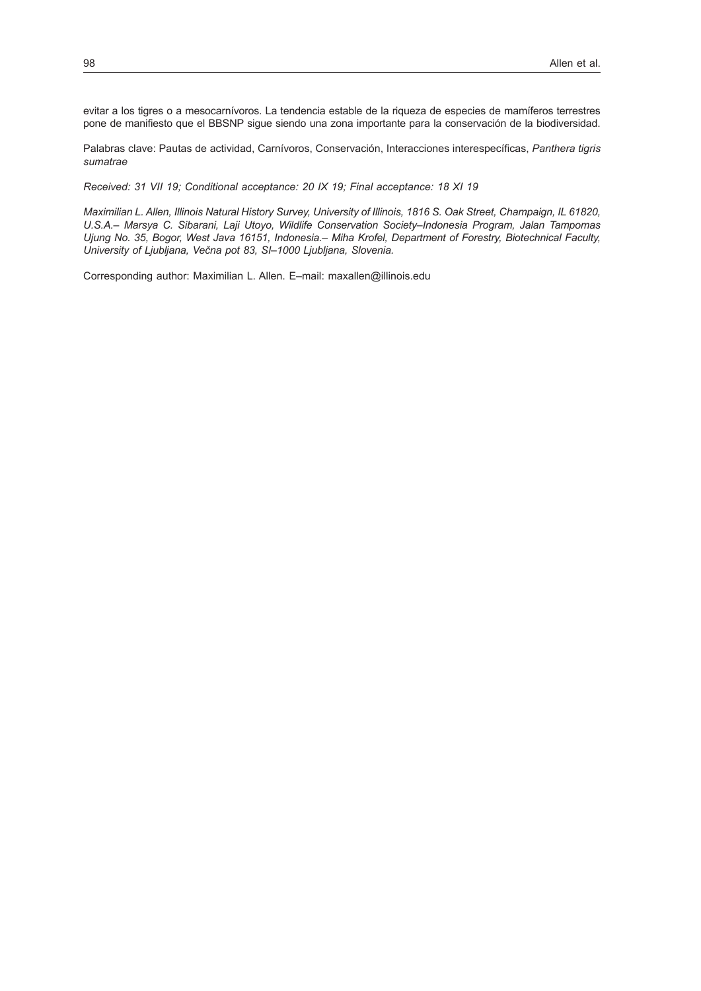evitar a los tigres o a mesocarnívoros. La tendencia estable de la riqueza de especies de mamíferos terrestres pone de manifiesto que el BBSNP sigue siendo una zona importante para la conservación de la biodiversidad.

Palabras clave: Pautas de actividad, Carnívoros, Conservación, Interacciones interespecíficas, *Panthera tigris sumatrae*

*Received: 31 VII 19; Conditional acceptance: 20 IX 19; Final acceptance: 18 XI 19*

*Maximilian L. Allen, Illinois Natural History Survey, University of Illinois, 1816 S. Oak Street, Champaign, IL 61820, U.S.A.– Marsya C. Sibarani, Laji Utoyo, Wildlife Conservation Society–Indonesia Program, Jalan Tampomas Ujung No. 35, Bogor, West Java 16151, Indonesia.– Miha Krofel, Department of Forestry, Biotechnical Faculty, University of Ljubljana, Večna pot 83, SI–1000 Ljubljana, Slovenia.*

Corresponding author: Maximilian L. Allen. E–mail: [maxallen@illinois.edu](mailto:maxallen%40illinois.edu?subject=)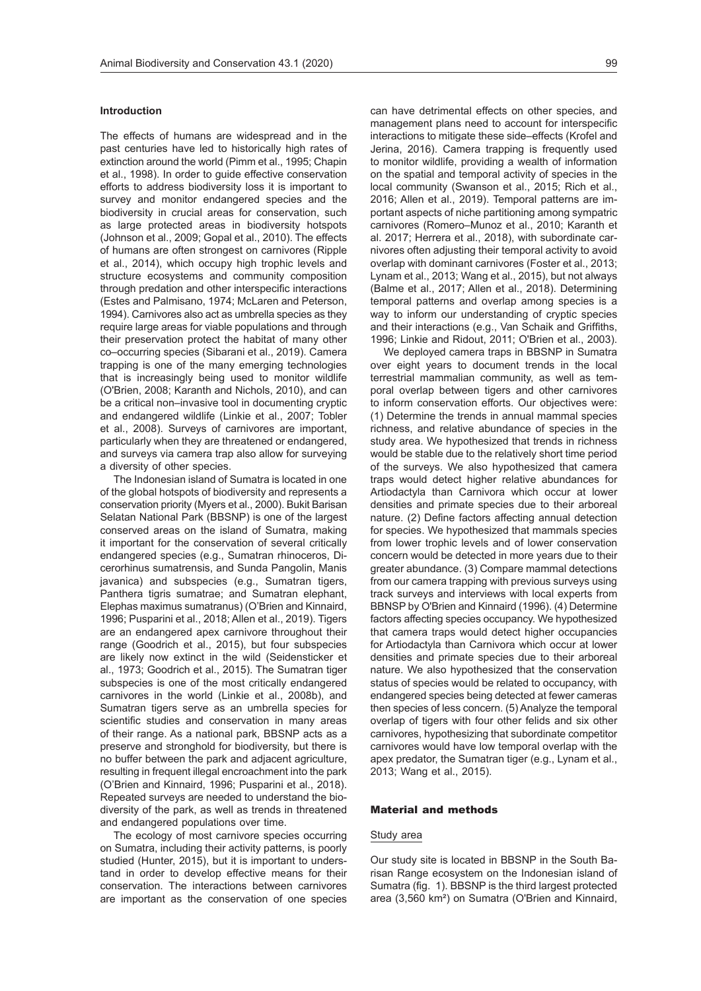#### **Introduction**

The effects of humans are widespread and in the past centuries have led to historically high rates of extinction around the world (Pimm et al., 1995; Chapin et al., 1998). In order to guide effective conservation efforts to address biodiversity loss it is important to survey and monitor endangered species and the biodiversity in crucial areas for conservation, such as large protected areas in biodiversity hotspots (Johnson et al., 2009; Gopal et al., 2010). The effects of humans are often strongest on carnivores (Ripple et al., 2014), which occupy high trophic levels and structure ecosystems and community composition through predation and other interspecific interactions (Estes and Palmisano, 1974; McLaren and Peterson, 1994). Carnivores also act as umbrella species as they require large areas for viable populations and through their preservation protect the habitat of many other co–occurring species (Sibarani et al., 2019). Camera trapping is one of the many emerging technologies that is increasingly being used to monitor wildlife (O'Brien, 2008; Karanth and Nichols, 2010), and can be a critical non–invasive tool in documenting cryptic and endangered wildlife (Linkie et al., 2007; Tobler et al., 2008). Surveys of carnivores are important, particularly when they are threatened or endangered, and surveys via camera trap also allow for surveying a diversity of other species.

The Indonesian island of Sumatra is located in one of the global hotspots of biodiversity and represents a conservation priority (Myers et al., 2000). Bukit Barisan Selatan National Park (BBSNP) is one of the largest conserved areas on the island of Sumatra, making it important for the conservation of several critically endangered species (e.g., Sumatran rhinoceros, Dicerorhinus sumatrensis, and Sunda Pangolin, Manis javanica) and subspecies (e.g., Sumatran tigers, Panthera tigris sumatrae; and Sumatran elephant, Elephas maximus sumatranus) (O'Brien and Kinnaird, 1996; Pusparini et al., 2018; Allen et al., 2019). Tigers are an endangered apex carnivore throughout their range (Goodrich et al., 2015), but four subspecies are likely now extinct in the wild (Seidensticker et al., 1973; Goodrich et al., 2015). The Sumatran tiger subspecies is one of the most critically endangered carnivores in the world (Linkie et al., 2008b), and Sumatran tigers serve as an umbrella species for scientific studies and conservation in many areas of their range. As a national park, BBSNP acts as a preserve and stronghold for biodiversity, but there is no buffer between the park and adjacent agriculture, resulting in frequent illegal encroachment into the park (O'Brien and Kinnaird, 1996; Pusparini et al., 2018). Repeated surveys are needed to understand the biodiversity of the park, as well as trends in threatened and endangered populations over time.

The ecology of most carnivore species occurring on Sumatra, including their activity patterns, is poorly studied (Hunter, 2015), but it is important to understand in order to develop effective means for their conservation. The interactions between carnivores are important as the conservation of one species can have detrimental effects on other species, and management plans need to account for interspecific interactions to mitigate these side–effects (Krofel and Jerina, 2016). Camera trapping is frequently used to monitor wildlife, providing a wealth of information on the spatial and temporal activity of species in the local community (Swanson et al., 2015; Rich et al., 2016; Allen et al., 2019). Temporal patterns are important aspects of niche partitioning among sympatric carnivores (Romero–Munoz et al., 2010; Karanth et al. 2017; Herrera et al., 2018), with subordinate carnivores often adjusting their temporal activity to avoid overlap with dominant carnivores (Foster et al., 2013; Lynam et al., 2013; Wang et al., 2015), but not always (Balme et al., 2017; Allen et al., 2018). Determining temporal patterns and overlap among species is a way to inform our understanding of cryptic species

and their interactions (e.g., Van Schaik and Griffiths,

1996; Linkie and Ridout, 2011; O'Brien et al., 2003). We deployed camera traps in BBSNP in Sumatra over eight years to document trends in the local terrestrial mammalian community, as well as temporal overlap between tigers and other carnivores to inform conservation efforts. Our objectives were: (1) Determine the trends in annual mammal species richness, and relative abundance of species in the study area. We hypothesized that trends in richness would be stable due to the relatively short time period of the surveys. We also hypothesized that camera traps would detect higher relative abundances for Artiodactyla than Carnivora which occur at lower densities and primate species due to their arboreal nature. (2) Define factors affecting annual detection for species. We hypothesized that mammals species from lower trophic levels and of lower conservation concern would be detected in more years due to their greater abundance. (3) Compare mammal detections from our camera trapping with previous surveys using track surveys and interviews with local experts from BBNSP by O'Brien and Kinnaird (1996). (4) Determine factors affecting species occupancy. We hypothesized that camera traps would detect higher occupancies for Artiodactyla than Carnivora which occur at lower densities and primate species due to their arboreal nature. We also hypothesized that the conservation status of species would be related to occupancy, with endangered species being detected at fewer cameras then species of less concern. (5) Analyze the temporal overlap of tigers with four other felids and six other carnivores, hypothesizing that subordinate competitor carnivores would have low temporal overlap with the apex predator, the Sumatran tiger (e.g., Lynam et al., 2013; Wang et al., 2015).

### Material and methods

#### Study area

Our study site is located in BBSNP in the South Barisan Range ecosystem on the Indonesian island of Sumatra (fig. 1). BBSNP is the third largest protected area (3,560 km²) on Sumatra (O'Brien and Kinnaird,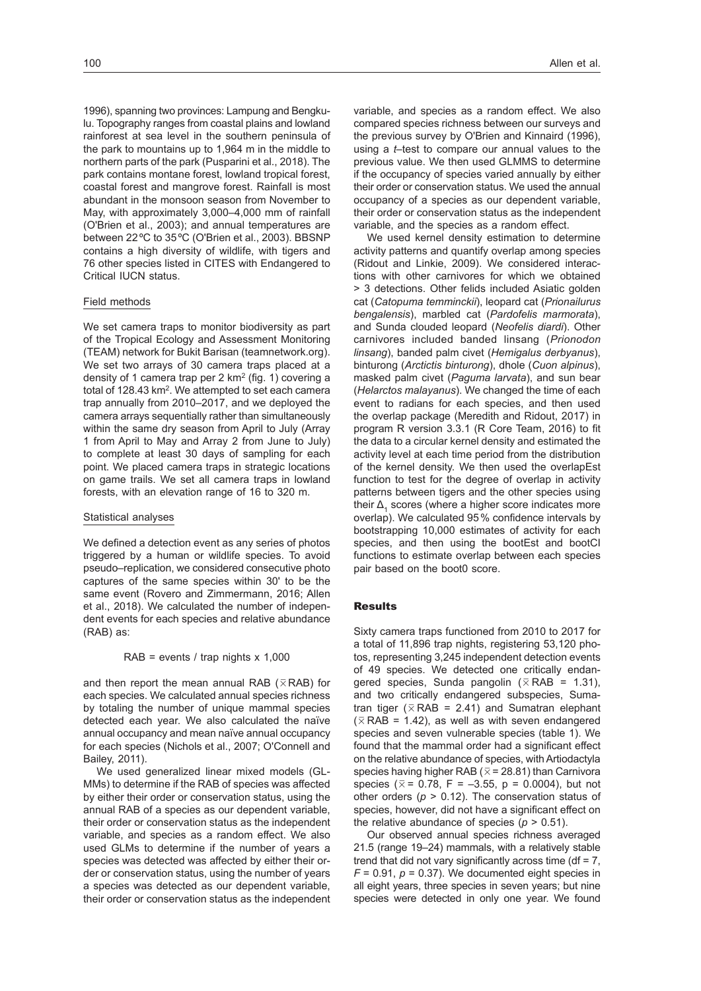1996), spanning two provinces: Lampung and Bengkulu. Topography ranges from coastal plains and lowland rainforest at sea level in the southern peninsula of the park to mountains up to 1,964 m in the middle to northern parts of the park (Pusparini et al., 2018). The park contains montane forest, lowland tropical forest, coastal forest and mangrove forest. Rainfall is most abundant in the monsoon season from November to May, with approximately 3,000–4,000 mm of rainfall (O'Brien et al., 2003); and annual temperatures are between 22ºC to 35ºC (O'Brien et al., 2003). BBSNP contains a high diversity of wildlife, with tigers and 76 other species listed in CITES with Endangered to Critical IUCN status.

### Field methods

We set camera traps to monitor biodiversity as part of the Tropical Ecology and Assessment Monitoring (TEAM) network for Bukit Barisan [\(teamnetwork.org](https://www.wildlifeinsights.org/team-network)). We set two arrays of 30 camera traps placed at a density of 1 camera trap per 2 km<sup>2</sup> (fig. 1) covering a total of 128.43 km<sup>2</sup>. We attempted to set each camera trap annually from 2010–2017, and we deployed the camera arrays sequentially rather than simultaneously within the same dry season from April to July (Array 1 from April to May and Array 2 from June to July) to complete at least 30 days of sampling for each point. We placed camera traps in strategic locations on game trails. We set all camera traps in lowland forests, with an elevation range of 16 to 320 m.

#### Statistical analyses

We defined a detection event as any series of photos triggered by a human or wildlife species. To avoid pseudo–replication, we considered consecutive photo captures of the same species within 30' to be the same event (Rovero and Zimmermann, 2016; Allen et al., 2018). We calculated the number of independent events for each species and relative abundance (RAB) as:

#### RAB = events / trap nights  $x$  1,000

and then report the mean annual RAB ( $\overline{\times}$ RAB) for each species. We calculated annual species richness by totaling the number of unique mammal species detected each year. We also calculated the naïve annual occupancy and mean naïve annual occupancy for each species (Nichols et al., 2007; O'Connell and Bailey, 2011).

We used generalized linear mixed models (GL-MMs) to determine if the RAB of species was affected by either their order or conservation status, using the annual RAB of a species as our dependent variable, their order or conservation status as the independent variable, and species as a random effect. We also used GLMs to determine if the number of years a species was detected was affected by either their order or conservation status, using the number of years a species was detected as our dependent variable, their order or conservation status as the independent

variable, and species as a random effect. We also compared species richness between our surveys and the previous survey by O'Brien and Kinnaird (1996), using a *t*–test to compare our annual values to the previous value. We then used GLMMS to determine if the occupancy of species varied annually by either their order or conservation status. We used the annual occupancy of a species as our dependent variable, their order or conservation status as the independent variable, and the species as a random effect.

We used kernel density estimation to determine activity patterns and quantify overlap among species (Ridout and Linkie, 2009). We considered interactions with other carnivores for which we obtained > 3 detections. Other felids included Asiatic golden cat (*Catopuma temminckii*), leopard cat (*Prionailurus bengalensis*), marbled cat (*Pardofelis marmorata*), and Sunda clouded leopard (*Neofelis diardi*). Other carnivores included banded linsang (*Prionodon linsang*), banded palm civet (*Hemigalus derbyanus*), binturong (*Arctictis binturong*), dhole (*Cuon alpinus*), masked palm civet (*Paguma larvata*), and sun bear (*Helarctos malayanus*). We changed the time of each event to radians for each species, and then used the overlap package (Meredith and Ridout, 2017) in program R version 3.3.1 (R Core Team, 2016) to fit the data to a circular kernel density and estimated the activity level at each time period from the distribution of the kernel density. We then used the overlapEst function to test for the degree of overlap in activity patterns between tigers and the other species using their  $\Delta_4$  scores (where a higher score indicates more overlap). We calculated 95% confidence intervals by bootstrapping 10,000 estimates of activity for each species, and then using the bootEst and bootCI functions to estimate overlap between each species pair based on the boot0 score.

# Results

Sixty camera traps functioned from 2010 to 2017 for a total of 11,896 trap nights, registering 53,120 photos, representing 3,245 independent detection events of 49 species. We detected one critically endangered species, Sunda pangolin ( $\times$  RAB = 1.31), and two critically endangered subspecies, Sumatran tiger ( $\times$  RAB = 2.41) and Sumatran elephant  $(\overline{\times}$  RAB = 1.42), as well as with seven endangered species and seven vulnerable species (table 1). We found that the mammal order had a significant effect on the relative abundance of species, with Artiodactyla species having higher RAB ( $\overline{x}$  = 28.81) than Carnivora species ( $\bar{x}$  = 0.78, F = -3.55, p = 0.0004), but not other orders (*p* > 0.12). The conservation status of species, however, did not have a significant effect on the relative abundance of species ( $p > 0.51$ ).

Our observed annual species richness averaged 21.5 (range 19–24) mammals, with a relatively stable trend that did not vary significantly across time (df = 7,  $F = 0.91$ ,  $p = 0.37$ ). We documented eight species in all eight years, three species in seven years; but nine species were detected in only one year. We found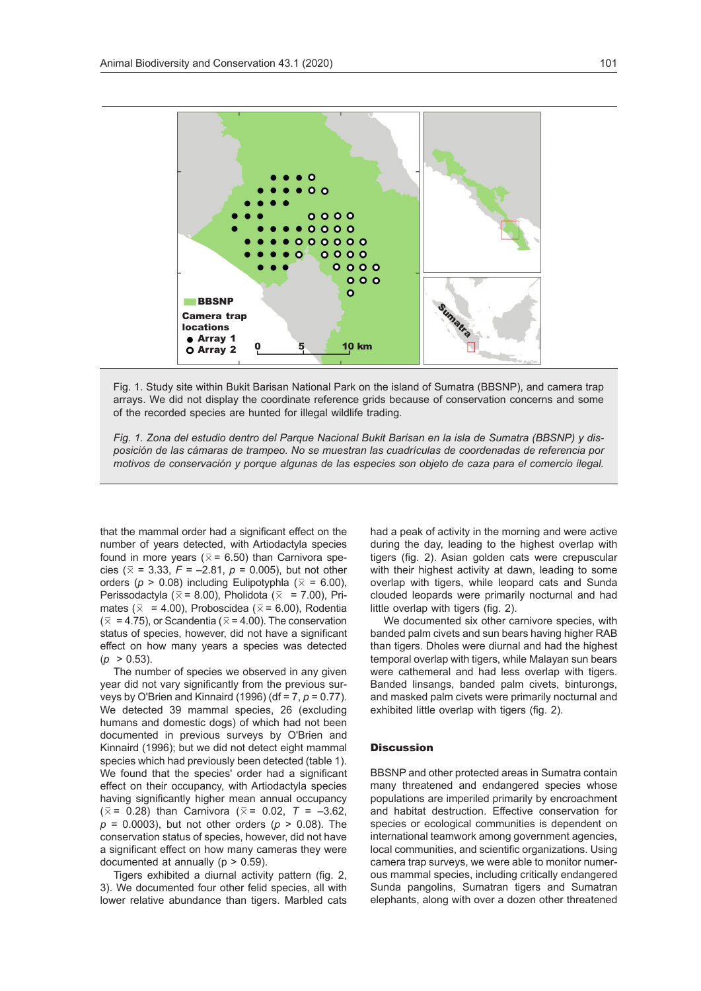

Fig. 1. Study site within Bukit Barisan National Park on the island of Sumatra (BBSNP), and camera trap arrays. We did not display the coordinate reference grids because of conservation concerns and some of the recorded species are hunted for illegal wildlife trading.

*Fig. 1. Zona del estudio dentro del Parque Nacional Bukit Barisan en la isla de Sumatra (BBSNP) y disposición de las cámaras de trampeo. No se muestran las cuadrículas de coordenadas de referencia por motivos de conservación y porque algunas de las especies son objeto de caza para el comercio ilegal.*

that the mammal order had a significant effect on the number of years detected, with Artiodactyla species found in more years ( $\overline{x}$  = 6.50) than Carnivora species ( $\bar{x}$  = 3.33, *F* = –2.81, *p* = 0.005), but not other orders ( $p > 0.08$ ) including Eulipotyphla ( $\overline{x} = 6.00$ ), Perissodactyla ( $\overline{x}$  = 8.00), Pholidota ( $\overline{x}$  = 7.00), Primates ( $\overline{x}$  = 4.00), Proboscidea ( $\overline{x}$  = 6.00), Rodentia  $(\bar{x} = 4.75)$ , or Scandentia ( $\bar{x} = 4.00$ ). The conservation status of species, however, did not have a significant effect on how many years a species was detected  $(p > 0.53)$ .

The number of species we observed in any given year did not vary significantly from the previous surveys by O'Brien and Kinnaird (1996) (df = 7, *p* = 0.77). We detected 39 mammal species, 26 (excluding humans and domestic dogs) of which had not been documented in previous surveys by O'Brien and Kinnaird (1996); but we did not detect eight mammal species which had previously been detected (table 1). We found that the species' order had a significant effect on their occupancy, with Artiodactyla species having significantly higher mean annual occupancy  $(\bar{x} = 0.28)$  than Carnivora ( $\bar{x} = 0.02$ ,  $T = -3.62$ , *p* = 0.0003), but not other orders (*p* > 0.08). The conservation status of species, however, did not have a significant effect on how many cameras they were documented at annually ( $p > 0.59$ ).

Tigers exhibited a diurnal activity pattern (fig. 2, 3). We documented four other felid species, all with lower relative abundance than tigers. Marbled cats had a peak of activity in the morning and were active during the day, leading to the highest overlap with tigers (fig. 2). Asian golden cats were crepuscular with their highest activity at dawn, leading to some overlap with tigers, while leopard cats and Sunda clouded leopards were primarily nocturnal and had little overlap with tigers (fig. 2).

We documented six other carnivore species, with banded palm civets and sun bears having higher RAB than tigers. Dholes were diurnal and had the highest temporal overlap with tigers, while Malayan sun bears were cathemeral and had less overlap with tigers. Banded linsangs, banded palm civets, binturongs, and masked palm civets were primarily nocturnal and exhibited little overlap with tigers (fig. 2).

## **Discussion**

BBSNP and other protected areas in Sumatra contain many threatened and endangered species whose populations are imperiled primarily by encroachment and habitat destruction. Effective conservation for species or ecological communities is dependent on international teamwork among government agencies, local communities, and scientific organizations. Using camera trap surveys, we were able to monitor numerous mammal species, including critically endangered Sunda pangolins, Sumatran tigers and Sumatran elephants, along with over a dozen other threatened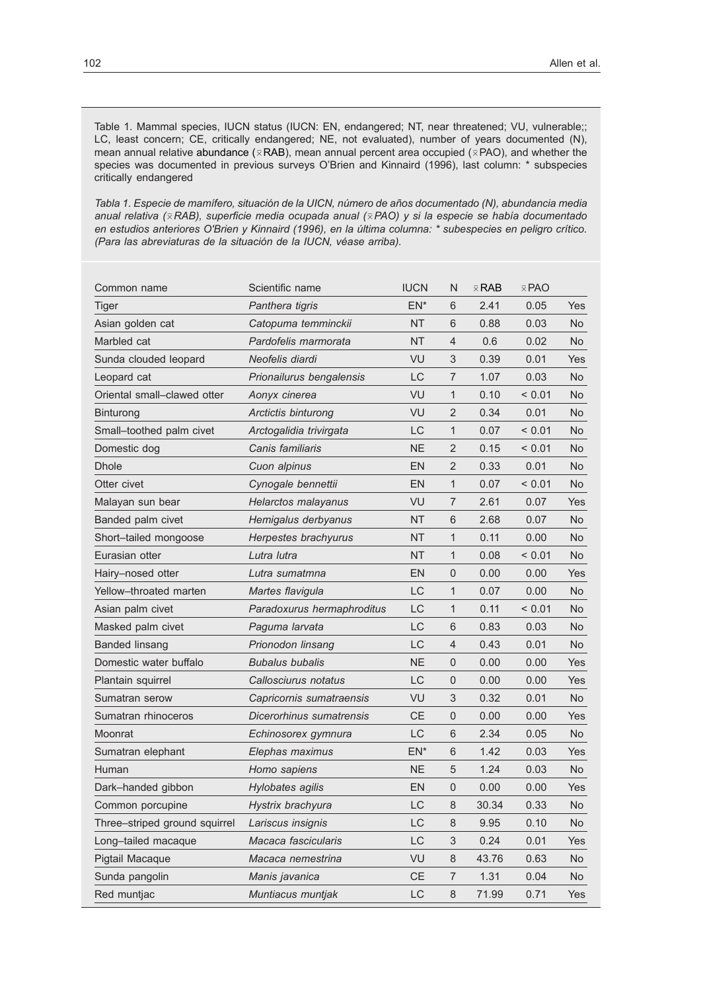Table 1. Mammal species, IUCN status (IUCN: EN, endangered; NT, near threatened; VU, vulnerable;; LC, least concern; CE, critically endangered; NE, not evaluated), number of years documented (N), mean annual relative abundance ( $\bar{x}$ RAB), mean annual percent area occupied ( $\bar{x}$ PAO), and whether the species was documented in previous surveys O'Brien and Kinnaird (1996), last column: \* subspecies critically endangered

*Tabla 1. Especie de mamífero, situación de la UICN, número de años documentado (N), abundancia media anual relativa (*0 *RAB), superficie media ocupada anual (*0*PAO) y si la especie se había documentado en estudios anteriores O'Brien y Kinnaird (1996), en la última columna: \* subespecies en peligro crítico. (Para las abreviaturas de la situación de la IUCN, véase arriba).*

| Common name                   | Scientific name            | <b>IUCN</b> | N                         | $\times$ RAB | $\bar{x}$ PAO |                |
|-------------------------------|----------------------------|-------------|---------------------------|--------------|---------------|----------------|
| Tiger                         | Panthera tigris            | $EN^*$      | 6                         | 2.41         | 0.05          | <b>Yes</b>     |
| Asian golden cat              | Catopuma temminckii        | <b>NT</b>   | 6                         | 0.88         | 0.03          | No.            |
| Marbled cat                   | Pardofelis marmorata       | <b>NT</b>   | $\overline{4}$            | 0.6          | 0.02          | No             |
| Sunda clouded leopard         | Neofelis diardi            | VU          | 3                         | 0.39         | 0.01          | <b>Yes</b>     |
| Leopard cat                   | Prionailurus bengalensis   | LC          | $\overline{7}$            | 1.07         | 0.03          | No             |
| Oriental small-clawed otter   | Aonyx cinerea              | VU          | 1                         | 0.10         | < 0.01        | <b>No</b>      |
| Binturong                     | Arctictis binturong        | VU          | $\overline{2}$            | 0.34         | 0.01          | No             |
| Small-toothed palm civet      | Arctogalidia trivirgata    | LC          | 1                         | 0.07         | < 0.01        | N <sub>o</sub> |
| Domestic dog                  | Canis familiaris           | <b>NE</b>   | $\overline{2}$            | 0.15         | < 0.01        | No             |
| <b>Dhole</b>                  | Cuon alpinus               | EN          | $\overline{2}$            | 0.33         | 0.01          | N <sub>o</sub> |
| Otter civet                   | Cynogale bennettii         | EN          | 1                         | 0.07         | < 0.01        | No.            |
| Malayan sun bear              | Helarctos malayanus        | VU          | $\overline{7}$            | 2.61         | 0.07          | Yes            |
| Banded palm civet             | Hemigalus derbyanus        | ΝT          | 6                         | 2.68         | 0.07          | No             |
| Short-tailed mongoose         | Herpestes brachyurus       | <b>NT</b>   | $\mathbf{1}$              | 0.11         | 0.00          | N <sub>o</sub> |
| Eurasian otter                | Lutra lutra                | ΝT          | 1                         | 0.08         | < 0.01        | No.            |
| Hairy-nosed otter             | Lutra sumatmna             | EN          | $\mathbf 0$               | 0.00         | 0.00          | Yes            |
| Yellow-throated marten        | Martes flavigula           | LC          | 1                         | 0.07         | 0.00          | No.            |
| Asian palm civet              | Paradoxurus hermaphroditus | LC          | 1                         | 0.11         | < 0.01        | No.            |
| Masked palm civet             | Paguma larvata             | LC          | 6                         | 0.83         | 0.03          | No.            |
| Banded linsang                | Prionodon linsang          | LC          | $\overline{4}$            | 0.43         | 0.01          | No             |
| Domestic water buffalo        | <b>Bubalus bubalis</b>     | <b>NE</b>   | $\mathbf 0$               | 0.00         | 0.00          | <b>Yes</b>     |
| Plantain squirrel             | Callosciurus notatus       | LC          | $\mathbf 0$               | 0.00         | 0.00          | Yes            |
| Sumatran serow                | Capricornis sumatraensis   | VU          | 3                         | 0.32         | 0.01          | No             |
| Sumatran rhinoceros           | Dicerorhinus sumatrensis   | CЕ          | $\mathbf 0$               | 0.00         | 0.00          | Yes            |
| Moonrat                       | Echinosorex gymnura        | LC          | 6                         | 2.34         | 0.05          | N <sub>o</sub> |
| Sumatran elephant             | Elephas maximus            | $EN^*$      | 6                         | 1.42         | 0.03          | Yes            |
| Human                         | Homo sapiens               | <b>NE</b>   | 5                         | 1.24         | 0.03          | No             |
| Dark-handed gibbon            | Hylobates agilis           | EN          | $\mathbf{0}$              | 0.00         | 0.00          | Yes            |
| Common porcupine              | Hystrix brachyura          | LC          | $\,8\,$                   | 30.34        | 0.33          | No             |
| Three-striped ground squirrel | Lariscus insignis          | LC          | 8                         | 9.95         | 0.10          | No             |
| Long-tailed macaque           | Macaca fascicularis        | LC          | $\ensuremath{\mathsf{3}}$ | 0.24         | 0.01          | Yes            |
| Pigtail Macaque               | Macaca nemestrina          | VU          | $\,8\,$                   | 43.76        | 0.63          | No             |
| Sunda pangolin                | Manis javanica             | <b>CE</b>   | $\overline{7}$            | 1.31         | 0.04          | No             |
| Red muntjac                   | Muntiacus muntjak          | LC          | 8                         | 71.99        | 0.71          | Yes            |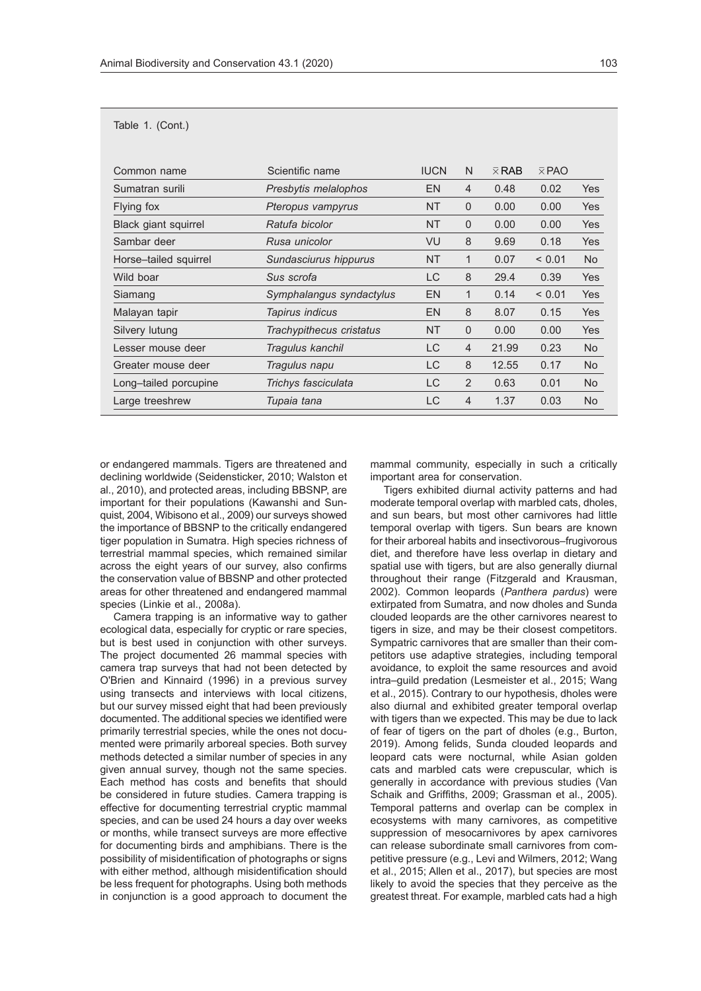|  |  | Table 1. (Cont.) |  |
|--|--|------------------|--|
|--|--|------------------|--|

| Common name           | Scientific name          | <b>IUCN</b> | N              | $\times$ RAB | $\bar{x}$ PAO |                |
|-----------------------|--------------------------|-------------|----------------|--------------|---------------|----------------|
| Sumatran surili       | Presbytis melalophos     | <b>EN</b>   | $\overline{4}$ | 0.48         | 0.02          | <b>Yes</b>     |
| Flying fox            | Pteropus vampyrus        | <b>NT</b>   | $\Omega$       | 0.00         | 0.00          | Yes            |
| Black giant squirrel  | Ratufa bicolor           | <b>NT</b>   | $\Omega$       | 0.00         | 0.00          | <b>Yes</b>     |
| Sambar deer           | Rusa unicolor            | VU          | 8              | 9.69         | 0.18          | Yes            |
| Horse-tailed squirrel | Sundasciurus hippurus    | <b>NT</b>   | 1              | 0.07         | ${}_{0.01}$   | No.            |
| Wild boar             | Sus scrofa               | LC          | 8              | 29.4         | 0.39          | <b>Yes</b>     |
| Siamang               | Symphalangus syndactylus | <b>EN</b>   | 1              | 0.14         | < 0.01        | <b>Yes</b>     |
| Malayan tapir         | Tapirus indicus          | <b>EN</b>   | 8              | 8.07         | 0.15          | <b>Yes</b>     |
| Silvery lutung        | Trachypithecus cristatus | <b>NT</b>   | $\Omega$       | 0.00         | 0.00          | <b>Yes</b>     |
| Lesser mouse deer     | Tragulus kanchil         | LC          | $\overline{4}$ | 21.99        | 0.23          | <b>No</b>      |
| Greater mouse deer    | Tragulus napu            | LC          | 8              | 12.55        | 0.17          | N <sub>o</sub> |
| Long-tailed porcupine | Trichys fasciculata      | LC          | $\overline{2}$ | 0.63         | 0.01          | No.            |
| Large treeshrew       | Tupaia tana              | LC          | 4              | 1.37         | 0.03          | <b>No</b>      |

or endangered mammals. Tigers are threatened and declining worldwide (Seidensticker, 2010; Walston et al., 2010), and protected areas, including BBSNP, are important for their populations (Kawanshi and Sunquist, 2004, Wibisono et al., 2009) our surveys showed the importance of BBSNP to the critically endangered tiger population in Sumatra. High species richness of terrestrial mammal species, which remained similar across the eight years of our survey, also confirms the conservation value of BBSNP and other protected areas for other threatened and endangered mammal species (Linkie et al., 2008a).

Camera trapping is an informative way to gather ecological data, especially for cryptic or rare species, but is best used in conjunction with other surveys. The project documented 26 mammal species with camera trap surveys that had not been detected by O'Brien and Kinnaird (1996) in a previous survey using transects and interviews with local citizens, but our survey missed eight that had been previously documented. The additional species we identified were primarily terrestrial species, while the ones not documented were primarily arboreal species. Both survey methods detected a similar number of species in any given annual survey, though not the same species. Each method has costs and benefits that should be considered in future studies. Camera trapping is effective for documenting terrestrial cryptic mammal species, and can be used 24 hours a day over weeks or months, while transect surveys are more effective for documenting birds and amphibians. There is the possibility of misidentification of photographs or signs with either method, although misidentification should be less frequent for photographs. Using both methods in conjunction is a good approach to document the mammal community, especially in such a critically important area for conservation.

Tigers exhibited diurnal activity patterns and had moderate temporal overlap with marbled cats, dholes, and sun bears, but most other carnivores had little temporal overlap with tigers. Sun bears are known for their arboreal habits and insectivorous–frugivorous diet, and therefore have less overlap in dietary and spatial use with tigers, but are also generally diurnal throughout their range (Fitzgerald and Krausman, 2002). Common leopards (*Panthera pardus*) were extirpated from Sumatra, and now dholes and Sunda clouded leopards are the other carnivores nearest to tigers in size, and may be their closest competitors. Sympatric carnivores that are smaller than their competitors use adaptive strategies, including temporal avoidance, to exploit the same resources and avoid intra–guild predation (Lesmeister et al., 2015; Wang et al., 2015). Contrary to our hypothesis, dholes were also diurnal and exhibited greater temporal overlap with tigers than we expected. This may be due to lack of fear of tigers on the part of dholes (e.g., Burton, 2019). Among felids, Sunda clouded leopards and leopard cats were nocturnal, while Asian golden cats and marbled cats were crepuscular, which is generally in accordance with previous studies (Van Schaik and Griffiths, 2009; Grassman et al., 2005). Temporal patterns and overlap can be complex in ecosystems with many carnivores, as competitive suppression of mesocarnivores by apex carnivores can release subordinate small carnivores from competitive pressure (e.g., Levi and Wilmers, 2012; Wang et al., 2015; Allen et al., 2017), but species are most likely to avoid the species that they perceive as the greatest threat. For example, marbled cats had a high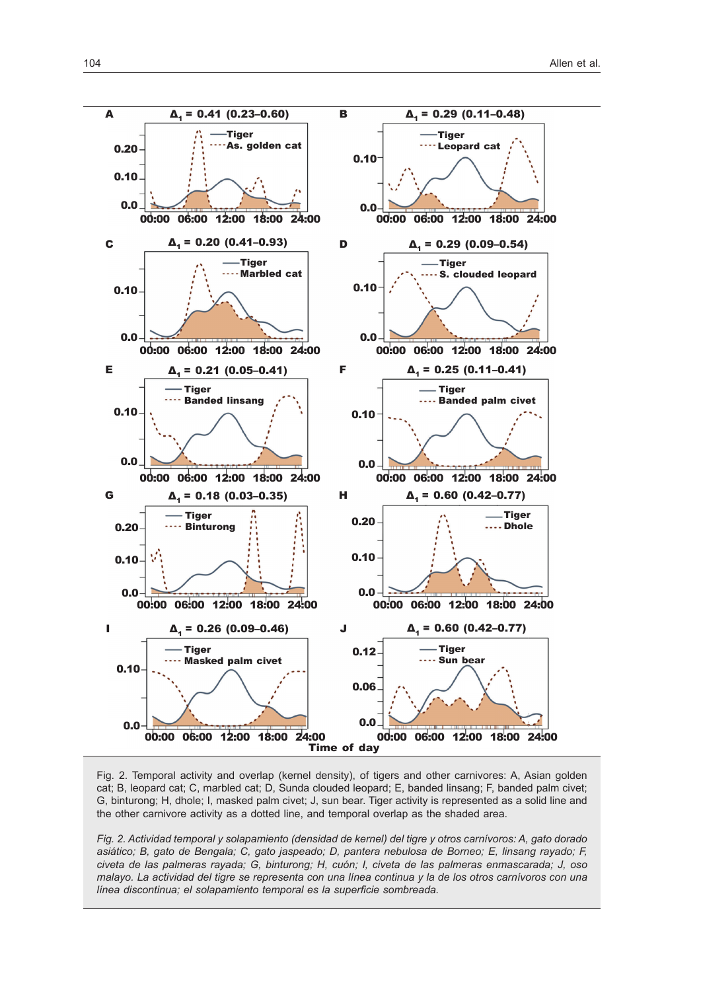

Fig. 2. Temporal activity and overlap (kernel density), of tigers and other carnivores: A, Asian golden cat; B, leopard cat; C, marbled cat; D, Sunda clouded leopard; E, banded linsang; F, banded palm civet; G, binturong; H, dhole; I, masked palm civet; J, sun bear. Tiger activity is represented as a solid line and the other carnivore activity as a dotted line, and temporal overlap as the shaded area.

*Fig. 2. Actividad temporal y solapamiento (densidad de kernel) del tigre y otros carnívoros: A, gato dorado asiático; B, gato de Bengala; C, gato jaspeado; D, pantera nebulosa de Borneo; E, linsang rayado; F, civeta de las palmeras rayada; G, binturong; H, cuón; I, civeta de las palmeras enmascarada; J, oso malayo. La actividad del tigre se representa con una línea continua y la de los otros carnívoros con una línea discontinua; el solapamiento temporal es la superficie sombreada.*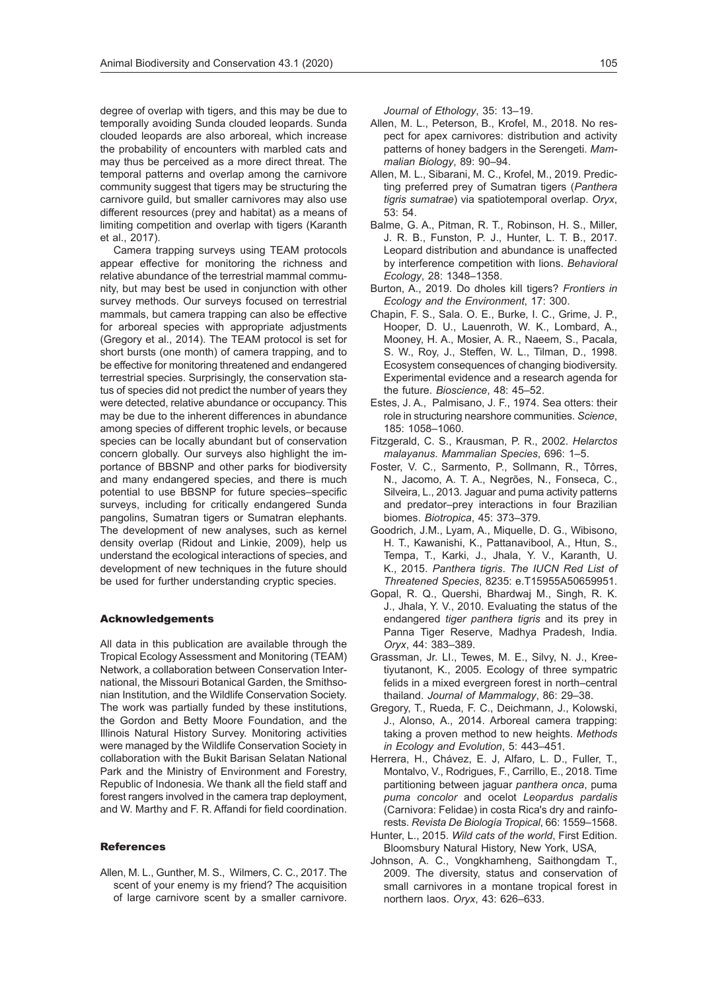degree of overlap with tigers, and this may be due to temporally avoiding Sunda clouded leopards. Sunda clouded leopards are also arboreal, which increase the probability of encounters with marbled cats and may thus be perceived as a more direct threat. The temporal patterns and overlap among the carnivore community suggest that tigers may be structuring the carnivore guild, but smaller carnivores may also use different resources (prey and habitat) as a means of limiting competition and overlap with tigers (Karanth et al., 2017).

Camera trapping surveys using TEAM protocols appear effective for monitoring the richness and relative abundance of the terrestrial mammal community, but may best be used in conjunction with other survey methods. Our surveys focused on terrestrial mammals, but camera trapping can also be effective for arboreal species with appropriate adjustments (Gregory et al., 2014). The TEAM protocol is set for short bursts (one month) of camera trapping, and to be effective for monitoring threatened and endangered terrestrial species. Surprisingly, the conservation status of species did not predict the number of years they were detected, relative abundance or occupancy. This may be due to the inherent differences in abundance among species of different trophic levels, or because species can be locally abundant but of conservation concern globally. Our surveys also highlight the importance of BBSNP and other parks for biodiversity and many endangered species, and there is much potential to use BBSNP for future species–specific surveys, including for critically endangered Sunda pangolins, Sumatran tigers or Sumatran elephants. The development of new analyses, such as kernel density overlap (Ridout and Linkie, 2009), help us understand the ecological interactions of species, and development of new techniques in the future should be used for further understanding cryptic species.

#### Acknowledgements

All data in this publication are available through the Tropical Ecology Assessment and Monitoring (TEAM) Network, a collaboration between Conservation International, the Missouri Botanical Garden, the Smithsonian Institution, and the Wildlife Conservation Society. The work was partially funded by these institutions, the Gordon and Betty Moore Foundation, and the Illinois Natural History Survey. Monitoring activities were managed by the Wildlife Conservation Society in collaboration with the Bukit Barisan Selatan National Park and the Ministry of Environment and Forestry, Republic of Indonesia. We thank all the field staff and forest rangers involved in the camera trap deployment, and W. Marthy and F. R. Affandi for field coordination.

#### **References**

Allen, M. L., Gunther, M. S., Wilmers, C. C., 2017. The scent of your enemy is my friend? The acquisition of large carnivore scent by a smaller carnivore. *Journal of Ethology*, 35: 13–19.

- Allen, M. L., Peterson, B., Krofel, M., 2018. No respect for apex carnivores: distribution and activity patterns of honey badgers in the Serengeti. *Mammalian Biology*, 89: 90–94.
- Allen, M. L., Sibarani, M. C., Krofel, M., 2019. Predicting preferred prey of Sumatran tigers (*Panthera tigris sumatrae*) via spatiotemporal overlap. *Oryx*, 53: 54.
- Balme, G. A., Pitman, R. T., Robinson, H. S., Miller, J. R. B., Funston, P. J., Hunter, L. T. B., 2017. Leopard distribution and abundance is unaffected by interference competition with lions. *Behavioral Ecology*, 28: 1348–1358.
- Burton, A., 2019. Do dholes kill tigers? *Frontiers in Ecology and the Environment*, 17: 300.
- Chapin, F. S., Sala. O. E., Burke, I. C., Grime, J. P., Hooper, D. U., Lauenroth, W. K., Lombard, A., Mooney, H. A., Mosier, A. R., Naeem, S., Pacala, S. W., Roy, J., Steffen, W. L., Tilman, D., 1998. Ecosystem consequences of changing biodiversity. Experimental evidence and a research agenda for the future. *Bioscience*, 48: 45–52.
- Estes, J. A., Palmisano, J. F., 1974. Sea otters: their role in structuring nearshore communities. *Science*, 185: 1058–1060.
- Fitzgerald, C. S., Krausman, P. R., 2002. *Helarctos malayanus*. *Mammalian Species*, 696: 1–5.
- Foster, V. C., Sarmento, P., Sollmann, R., Tôrres, N., Jacomo, A. T. A., Negrões, N., Fonseca, C., Silveira, L., 2013. Jaguar and puma activity patterns and predator–prey interactions in four Brazilian biomes. *Biotropica*, 45: 373–379.
- Goodrich, J.M., Lyam, A., Miquelle, D. G., Wibisono, H. T., Kawanishi, K., Pattanavibool, A., Htun, S., Tempa, T., Karki, J., Jhala, Y. V., Karanth, U. K., 2015. *Panthera tigris*. *The IUCN Red List of Threatened Species*, 8235: e.T15955A50659951.
- Gopal, R. Q., Quershi, Bhardwaj M., Singh, R. K. J., Jhala, Y. V., 2010. Evaluating the status of the endangered *tiger panthera tigris* and its prey in Panna Tiger Reserve, Madhya Pradesh, India. *Oryx*, 44: 383–389.
- Grassman, Jr. LI., Tewes, M. E., Silvy, N. J., Kreetiyutanont, K., 2005. Ecology of three sympatric felids in a mixed evergreen forest in north–central thailand. *Journal of Mammalogy*, 86: 29–38.
- Gregory, T., Rueda, F. C., Deichmann, J., Kolowski, J., Alonso, A., 2014. Arboreal camera trapping: taking a proven method to new heights. *Methods in Ecology and Evolution*, 5: 443–451.
- Herrera, H., Chávez, E. J, Alfaro, L. D., Fuller, T., Montalvo, V., Rodrigues, F., Carrillo, E., 2018. Time partitioning between jaguar *panthera onca*, puma *puma concolor* and ocelot *Leopardus pardalis* (Carnivora: Felidae) in costa Rica's dry and rainforests. *Revista De Biología Tropical*, 66: 1559–1568.
- Hunter, L., 2015. *Wild cats of the world*, First Edition. Bloomsbury Natural History, New York, USA,
- Johnson, A. C., Vongkhamheng, Saithongdam T., 2009. The diversity, status and conservation of small carnivores in a montane tropical forest in northern laos. *Oryx*, 43: 626–633.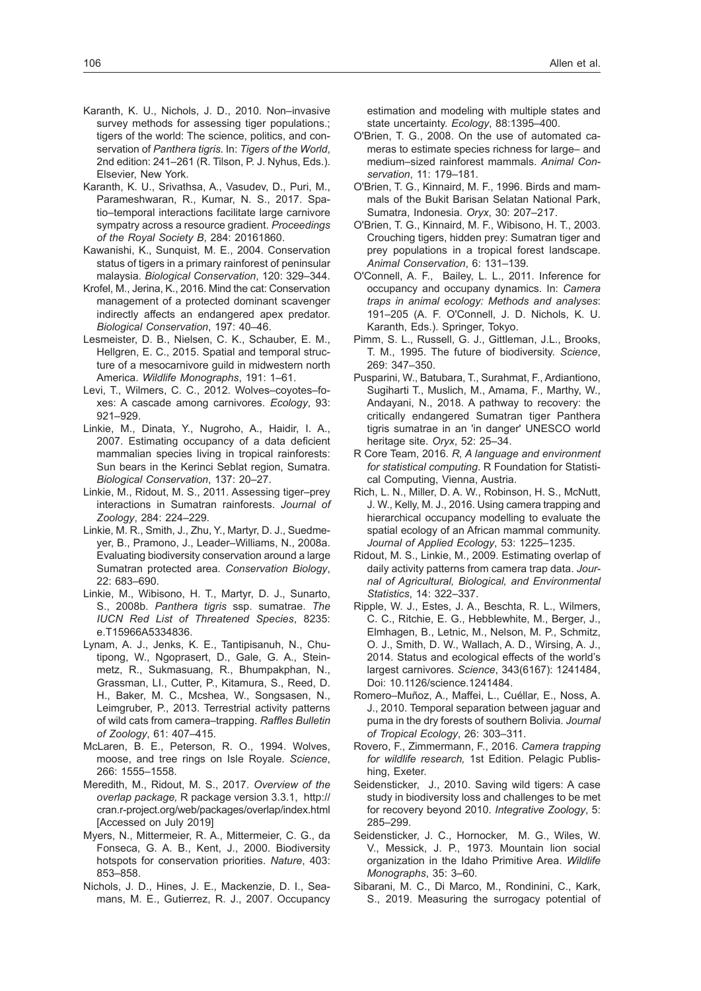- Karanth, K. U., Srivathsa, A., Vasudev, D., Puri, M., Parameshwaran, R., Kumar, N. S., 2017. Spatio–temporal interactions facilitate large carnivore sympatry across a resource gradient. *Proceedings of the Royal Society B*, 284: 20161860.
- Kawanishi, K., Sunquist, M. E., 2004. Conservation status of tigers in a primary rainforest of peninsular malaysia. *Biological Conservation*, 120: 329–344.
- Krofel, M., Jerina, K., 2016. Mind the cat: Conservation management of a protected dominant scavenger indirectly affects an endangered apex predator. *Biological Conservation*, 197: 40–46.
- Lesmeister, D. B., Nielsen, C. K., Schauber, E. M., Hellgren, E. C., 2015. Spatial and temporal structure of a mesocarnivore guild in midwestern north America. *Wildlife Monographs*, 191: 1–61.
- Levi, T., Wilmers, C. C., 2012. Wolves–coyotes–foxes: A cascade among carnivores. *Ecology*, 93: 921–929.
- Linkie, M., Dinata, Y., Nugroho, A., Haidir, I. A., 2007. Estimating occupancy of a data deficient mammalian species living in tropical rainforests: Sun bears in the Kerinci Seblat region, Sumatra. *Biological Conservation*, 137: 20–27.
- Linkie, M., Ridout, M. S., 2011. Assessing tiger–prey interactions in Sumatran rainforests. *Journal of Zoology*, 284: 224–229.
- Linkie, M. R., Smith, J., Zhu, Y., Martyr, D. J., Suedmeyer, B., Pramono, J., Leader–Williams, N., 2008a. Evaluating biodiversity conservation around a large Sumatran protected area. *Conservation Biology*, 22: 683–690.
- Linkie, M., Wibisono, H. T., Martyr, D. J., Sunarto, S., 2008b. *Panthera tigris* ssp. sumatrae. *The IUCN Red List of Threatened Species*, 8235: e.T15966A5334836.
- Lynam, A. J., Jenks, K. E., Tantipisanuh, N., Chutipong, W., Ngoprasert, D., Gale, G. A., Steinmetz, R., Sukmasuang, R., Bhumpakphan, N., Grassman, LI., Cutter, P., Kitamura, S., Reed, D. H., Baker, M. C., Mcshea, W., Songsasen, N., Leimgruber, P., 2013. Terrestrial activity patterns of wild cats from camera–trapping. *Raffles Bulletin of Zoology*, 61: 407–415.
- McLaren, B. E., Peterson, R. O., 1994. Wolves, moose, and tree rings on Isle Royale. *Science*, 266: 1555–1558.
- Meredith, M., Ridout, M. S., 2017. *Overview of the overlap package,* R package version 3.3.1,[http://](http://cran.r-project.org/web/packages/overlap/index.html) [cran.r-project.org/web/packages/overlap/index.html](http://cran.r-project.org/web/packages/overlap/index.html) [Accessed on July 2019]
- Myers, N., Mittermeier, R. A., Mittermeier, C. G., da Fonseca, G. A. B., Kent, J., 2000. Biodiversity hotspots for conservation priorities. *Nature*, 403: 853–858.
- Nichols, J. D., Hines, J. E., Mackenzie, D. I., Seamans, M. E., Gutierrez, R. J., 2007. Occupancy

estimation and modeling with multiple states and state uncertainty. *Ecology*, 88:1395–400.

- O'Brien, T. G., 2008. On the use of automated cameras to estimate species richness for large– and medium–sized rainforest mammals. *Animal Conservation*, 11: 179–181.
- O'Brien, T. G., Kinnaird, M. F., 1996. Birds and mammals of the Bukit Barisan Selatan National Park, Sumatra, Indonesia. *Oryx*, 30: 207–217.
- O'Brien, T. G., Kinnaird, M. F., Wibisono, H. T., 2003. Crouching tigers, hidden prey: Sumatran tiger and prey populations in a tropical forest landscape. *Animal Conservation*, 6: 131–139.
- O'Connell, A. F., Bailey, L. L., 2011. Inference for occupancy and occupany dynamics. In: *Camera traps in animal ecology: Methods and analyses*: 191–205 (A. F. O'Connell, J. D. Nichols, K. U. Karanth, Eds.). Springer, Tokyo.
- Pimm, S. L., Russell, G. J., Gittleman, J.L., Brooks, T. M., 1995. The future of biodiversity. *Science*, 269: 347–350.
- Pusparini, W., Batubara, T., Surahmat, F., Ardiantiono, Sugiharti T., Muslich, M., Amama, F., Marthy, W., Andayani, N., 2018. A pathway to recovery: the critically endangered Sumatran tiger Panthera tigris sumatrae in an 'in danger' UNESCO world heritage site. *Oryx*, 52: 25–34.
- R Core Team, 2016. *R, A language and environment for statistical computing*. R Foundation for Statistical Computing, Vienna, Austria.
- Rich, L. N., Miller, D. A. W., Robinson, H. S., McNutt, J. W., Kelly, M. J., 2016. Using camera trapping and hierarchical occupancy modelling to evaluate the spatial ecology of an African mammal community. *Journal of Applied Ecology*, 53: 1225–1235.
- Ridout, M. S., Linkie, M., 2009. Estimating overlap of daily activity patterns from camera trap data. *Journal of Agricultural, Biological, and Environmental Statistics*, 14: 322–337.
- Ripple, W. J., Estes, J. A., Beschta, R. L., Wilmers, C. C., Ritchie, E. G., Hebblewhite, M., Berger, J., Elmhagen, B., Letnic, M., Nelson, M. P., Schmitz, O. J., Smith, D. W., Wallach, A. D., Wirsing, A. J., 2014. Status and ecological effects of the world's largest carnivores. *Science*, 343(6167): 1241484, Doi: 10.1126/science.1241484.
- Romero–Muñoz, A., Maffei, L., Cuéllar, E., Noss, A. J., 2010. Temporal separation between jaguar and puma in the dry forests of southern Bolivia. *Journal of Tropical Ecology*, 26: 303–311.
- Rovero, F., Zimmermann, F., 2016. *Camera trapping for wildlife research,* 1st Edition. Pelagic Publishing, Exeter.
- Seidensticker, J., 2010. Saving wild tigers: A case study in biodiversity loss and challenges to be met for recovery beyond 2010. *Integrative Zoology*, 5: 285–299.
- Seidensticker, J. C., Hornocker, M. G., Wiles, W. V., Messick, J. P., 1973. Mountain lion social organization in the Idaho Primitive Area. *Wildlife Monographs*, 35: 3–60.
- Sibarani, M. C., Di Marco, M., Rondinini, C., Kark, S., 2019. Measuring the surrogacy potential of